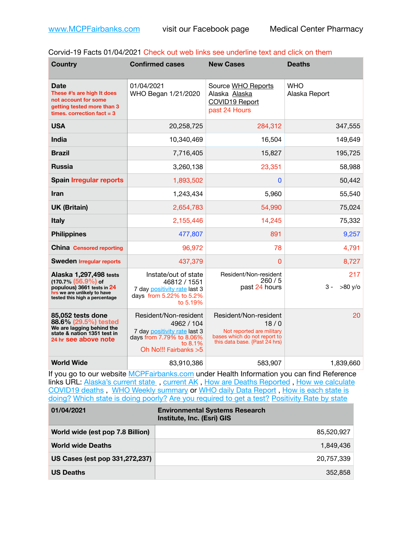| Corvid-19 Facts 01/04/2021 Check out web links see underline text and click on them |  |  |  |
|-------------------------------------------------------------------------------------|--|--|--|
|-------------------------------------------------------------------------------------|--|--|--|

| <b>Country</b>                                                                                                                                 | <b>Confirmed cases</b>                                                                                                               | <b>New Cases</b>                                                                                                            | <b>Deaths</b>               |
|------------------------------------------------------------------------------------------------------------------------------------------------|--------------------------------------------------------------------------------------------------------------------------------------|-----------------------------------------------------------------------------------------------------------------------------|-----------------------------|
| Date<br>These #'s are high It does<br>not account for some<br>getting tested more than 3<br>times. correction $fact = 3$                       | 01/04/2021<br>WHO Began 1/21/2020                                                                                                    | Source WHO Reports<br>Alaska Alaska<br><b>COVID19 Report</b><br>past 24 Hours                                               | <b>WHO</b><br>Alaska Report |
| <b>USA</b>                                                                                                                                     | 20,258,725                                                                                                                           | 284,312                                                                                                                     | 347,555                     |
| India                                                                                                                                          | 10,340,469                                                                                                                           | 16,504                                                                                                                      | 149,649                     |
| <b>Brazil</b>                                                                                                                                  | 7,716,405                                                                                                                            | 15,827                                                                                                                      | 195,725                     |
| <b>Russia</b>                                                                                                                                  | 3,260,138                                                                                                                            | 23,351                                                                                                                      | 58,988                      |
| <b>Spain Irregular reports</b>                                                                                                                 | 1,893,502                                                                                                                            | $\mathbf{0}$                                                                                                                | 50,442                      |
| Iran                                                                                                                                           | 1,243,434                                                                                                                            | 5,960                                                                                                                       | 55,540                      |
| <b>UK (Britain)</b>                                                                                                                            | 2,654,783                                                                                                                            | 54,990                                                                                                                      | 75,024                      |
| <b>Italy</b>                                                                                                                                   | 2,155,446                                                                                                                            | 14,245                                                                                                                      | 75,332                      |
| <b>Philippines</b>                                                                                                                             | 477,807                                                                                                                              | 891                                                                                                                         | 9,257                       |
| <b>China Censored reporting</b>                                                                                                                | 96,972                                                                                                                               | 78                                                                                                                          | 4,791                       |
| <b>Sweden Irregular reports</b>                                                                                                                | 437,379                                                                                                                              | $\Omega$                                                                                                                    | 8,727                       |
| Alaska 1,297,498 tests<br>$(170.7\%)(56.9\%)$ of<br>populous) 3661 tests in 24<br>hrs we are unlikely to have<br>tested this high a percentage | Instate/out of state<br>46812 / 1551<br>7 day positivity rate last 3<br>days from 5.22% to 5.2%<br>to 5.19%                          | Resident/Non-resident<br>260/5<br>past 24 hours                                                                             | 217<br>$>80$ y/o<br>3 -     |
| 85,052 tests done<br>88.6% (29.5%) tested<br>We are lagging behind the<br>state & nation 1351 test in<br>24 hr see above note                  | Resident/Non-resident<br>4962 / 104<br>7 day positivity rate last 3<br>days from 7.79% to 8.06%<br>to 8.1%<br>Oh No!!! Fairbanks > 5 | Resident/Non-resident<br>18/0<br>Not reported are military<br>bases which do not report to<br>this data base. {Past 24 hrs) | 20                          |
| <b>World Wide</b>                                                                                                                              | 83,910,386                                                                                                                           | 583,907                                                                                                                     | 1,839,660                   |

If you go to our website [MCPFairbanks.com](http://www.MCPFairbanks.com) under Health Information you can find Reference links URL: Alaska's current state, current AK, [How are Deaths Reported](http://dhss.alaska.gov/dph/Epi/id/Pages/COVID-19/deathcounts.aspx), How we calculate [COVID19 deaths](https://coronavirus-response-alaska-dhss.hub.arcgis.com/search?collection=Document&groupIds=41ccb3344ebc4bd682c74073eba21f42) , [WHO Weekly summary](http://www.who.int) or [WHO daily Data Report](https://covid19.who.int/table) , [How is each state is](https://www.msn.com/en-us/news/us/state-by-state-coronavirus-news/ar-BB13E1PX?fbclid=IwAR0_OBJH7lSyTN3ug_MsOeFnNgB1orTa9OBgilKJ7dhnwlVvHEsptuKkj1c)  [doing?](https://www.msn.com/en-us/news/us/state-by-state-coronavirus-news/ar-BB13E1PX?fbclid=IwAR0_OBJH7lSyTN3ug_MsOeFnNgB1orTa9OBgilKJ7dhnwlVvHEsptuKkj1c) [Which state is doing poorly?](https://bestlifeonline.com/covid-outbreak-your-state/?utm_source=nsltr&utm_medium=email&utm_content=covid-outbreak-your-state&utm_campaign=launch) [Are you required to get a test?](http://dhss.alaska.gov/dph/Epi/id/SiteAssets/Pages/HumanCoV/Whattodoafteryourtest.pdf) [Positivity Rate by state](https://coronavirus.jhu.edu/testing/individual-states/alaska)

| 01/04/2021                       | <b>Environmental Systems Research</b><br>Institute, Inc. (Esri) GIS |
|----------------------------------|---------------------------------------------------------------------|
| World wide (est pop 7.8 Billion) | 85,520,927                                                          |
| <b>World wide Deaths</b>         | 1.849.436                                                           |
| US Cases (est pop 331,272,237)   | 20,757,339                                                          |
| <b>US Deaths</b>                 | 352.858                                                             |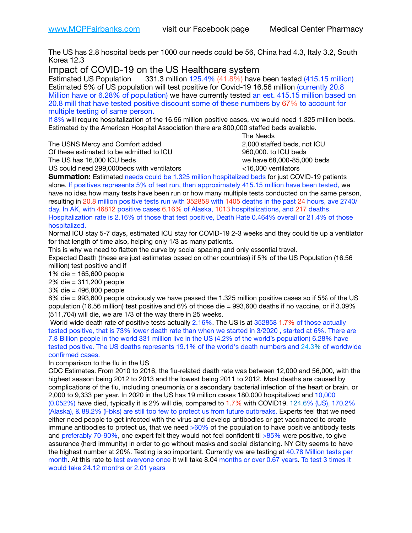The US has 2.8 hospital beds per 1000 our needs could be 56, China had 4.3, Italy 3.2, South Korea 12.3

Impact of COVID-19 on the US Healthcare system<br>Estimated US Population 331.3 million 125.4% (41.8%) have

331.3 million 125.4% (41.8%) have been tested (415.15 million) Estimated 5% of US population will test positive for Covid-19 16.56 million (currently 20.8 Million have or 6.28% of population) we have currently tested an est. 415.15 million based on 20.8 mill that have tested positive discount some of these numbers by 67% to account for multiple testing of same person.

If 8% will require hospitalization of the 16.56 million positive cases, we would need 1.325 million beds. Estimated by the American Hospital Association there are 800,000 staffed beds available. 

The USNS Mercy and Comfort added 2,000 staffed beds, not ICU

Of these estimated to be admitted to ICU 960,000. to ICU beds The US has 16,000 ICU beds we have 68,000-85,000 beds ve have 68,000-85,000 beds

 The Needs US could need 299,000beds with ventilators <16,000 ventilators

**Summation:** Estimated needs could be 1.325 million hospitalized beds for just COVID-19 patients alone. If positives represents 5% of test run, then approximately 415.15 million have been tested, we have no idea how many tests have been run or how many multiple tests conducted on the same person, resulting in 20.8 million positive tests run with 352858 with 1405 deaths in the past 24 hours, ave 2740/ day. In AK, with 46812 positive cases 6.16% of Alaska, 1013 hospitalizations, and 217 deaths. Hospitalization rate is 2.16% of those that test positive, Death Rate 0.464% overall or 21.4% of those hospitalized.

Normal ICU stay 5-7 days, estimated ICU stay for COVID-19 2-3 weeks and they could tie up a ventilator for that length of time also, helping only 1/3 as many patients.

This is why we need to flatten the curve by social spacing and only essential travel.

Expected Death (these are just estimates based on other countries) if 5% of the US Population (16.56 million) test positive and if

1% die = 165,600 people

2% die = 311,200 people

3% die = 496,800 people

6% die = 993,600 people obviously we have passed the 1.325 million positive cases so if 5% of the US population (16.56 million) test positive and 6% of those die = 993,600 deaths if no vaccine, or if 3.09% (511,704) will die, we are 1/3 of the way there in 25 weeks.

 World wide death rate of positive tests actually 2.16%. The US is at 352858 1.7% of those actually tested positive, that is 73% lower death rate than when we started in 3/2020 , started at 6%. There are 7.8 Billion people in the world 331 million live in the US (4.2% of the world's population) 6.28% have tested positive. The US deaths represents 19.1% of the world's death numbers and 24.3% of worldwide confirmed cases.

In comparison to the flu in the US

CDC Estimates. From 2010 to 2016, the flu-related death rate was between 12,000 and 56,000, with the highest season being 2012 to 2013 and the lowest being 2011 to 2012. Most deaths are caused by complications of the flu, including pneumonia or a secondary bacterial infection of the heart or brain. or 2,000 to 9,333 per year. In 2020 in the US has 19 million cases 180,000 hospitalized and 10,000 (0.052%) have died, typically it is 2% will die, compared to 1.7% with COVID19. 124.6% (US), 170.2% (Alaska), & 88.2% (Fbks) are still too few to protect us from future outbreaks. Experts feel that we need either need people to get infected with the virus and develop antibodies or get vaccinated to create immune antibodies to protect us, that we need  $>60\%$  of the population to have positive antibody tests and preferably 70-90%, one expert felt they would not feel confident til >85% were positive, to give assurance (herd immunity) in order to go without masks and social distancing. NY City seems to have the highest number at 20%. Testing is so important. Currently we are testing at 40.78 Million tests per month. At this rate to test everyone once it will take 8.04 months or over 0.67 years. To test 3 times it would take 24.12 months or 2.01 years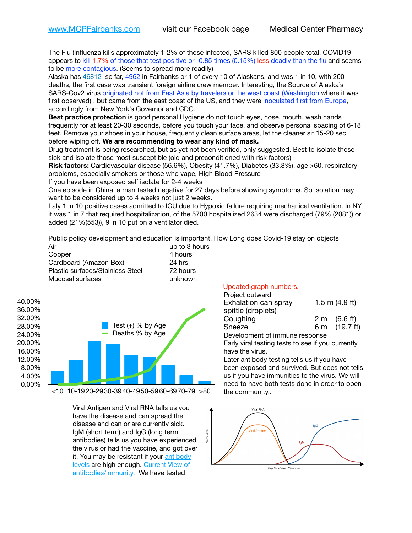The Flu (Influenza kills approximately 1-2% of those infected, SARS killed 800 people total, COVID19 appears to kill 1.7% of those that test positive or -0.85 times (0.15%) less deadly than the flu and seems to be more contagious. (Seems to spread more readily)

Alaska has 46812 so far, 4962 in Fairbanks or 1 of every 10 of Alaskans, and was 1 in 10, with 200 deaths, the first case was transient foreign airline crew member. Interesting, the Source of Alaska's SARS-Cov2 virus originated not from East Asia by travelers or the west coast (Washington where it was first observed) , but came from the east coast of the US, and they were inoculated first from Europe, accordingly from New York's Governor and CDC.

**Best practice protection** is good personal Hygiene do not touch eyes, nose, mouth, wash hands frequently for at least 20-30 seconds, before you touch your face, and observe personal spacing of 6-18 feet. Remove your shoes in your house, frequently clean surface areas, let the cleaner sit 15-20 sec before wiping off. **We are recommending to wear any kind of mask.**

Drug treatment is being researched, but as yet not been verified, only suggested. Best to isolate those sick and isolate those most susceptible (old and preconditioned with risk factors)

**Risk factors:** Cardiovascular disease (56.6%), Obesity (41.7%), Diabetes (33.8%), age >60, respiratory problems, especially smokers or those who vape, High Blood Pressure

If you have been exposed self isolate for 2-4 weeks

One episode in China, a man tested negative for 27 days before showing symptoms. So Isolation may want to be considered up to 4 weeks not just 2 weeks.

Italy 1 in 10 positive cases admitted to ICU due to Hypoxic failure requiring mechanical ventilation. In NY it was 1 in 7 that required hospitalization, of the 5700 hospitalized 2634 were discharged (79% (2081)) or added (21%(553)), 9 in 10 put on a ventilator died.

Public policy development and education is important. How Long does Covid-19 stay on objects

| Air                              | up to 3 hours |
|----------------------------------|---------------|
| Copper                           | 4 hours       |
| Cardboard (Amazon Box)           | 24 hrs        |
| Plastic surfaces/Stainless Steel | 72 hours      |
| Mucosal surfaces                 | unknown       |



Viral Antigen and Viral RNA tells us you have the disease and can spread the disease and can or are currently sick. IgM (short term) and IgG (long term antibodies) tells us you have experienced the virus or had the vaccine, and got over it. You may be resistant if your [antibody](https://www.cdc.gov/coronavirus/2019-ncov/lab/resources/antibody-tests.html)  [levels](https://www.cdc.gov/coronavirus/2019-ncov/lab/resources/antibody-tests.html) are high enough. [Current](https://l.facebook.com/l.php?u=https://www.itv.com/news/2020-10-26/covid-19-antibody-levels-reduce-over-time-study-finds?fbclid=IwAR3Dapzh1qIH1EIOdUQI2y8THf7jfA4KBCaJz8Qg-8xe1YsrR4nsAHDIXSY&h=AT30nut8pkqp0heVuz5W2rT2WFFm-2Ab52BsJxZZCNlGsX58IpPkuVEPULbIUV_M16MAukx1Kwb657DPXxsgDN1rpOQ4gqBtQsmVYiWpnHPJo2RQsU6CPMd14lgLnQnFWxfVi6zvmw&__tn__=-UK-R&c%5B0%5D=AT1GaRAfR_nGAyqcn7TI1-PpvqOqEKXHnz6TDWvRStMnOSH7boQDvTiwTOc6VId9UES6LKiOmm2m88wKCoolkJyOFvakt2Z1Mw8toYWGGoWW23r0MNVBl7cYJXB_UOvGklNHaNnaNr1_S7NhT3BSykNOBg) [View of](https://www.livescience.com/antibodies.html)  [antibodies/immunity](https://www.livescience.com/antibodies.html)[.](https://www.itv.com/news/2020-10-26/covid-19-antibody-levels-reduce-over-time-study-finds) We have tested

## Updated graph numbers.

| Project outward                |  |                  |
|--------------------------------|--|------------------|
| Exhalation can spray           |  | 1.5 m $(4.9$ ft) |
| spittle (droplets)             |  |                  |
| Coughing                       |  | 2 m (6.6 ft)     |
| Sneeze                         |  | 6 m (19.7 ft)    |
| Development of immune response |  |                  |

Early viral testing tests to see if you currently have the virus.

Later antibody testing tells us if you have been exposed and survived. But does not tells us if you have immunities to the virus. We will need to have both tests done in order to open the community..

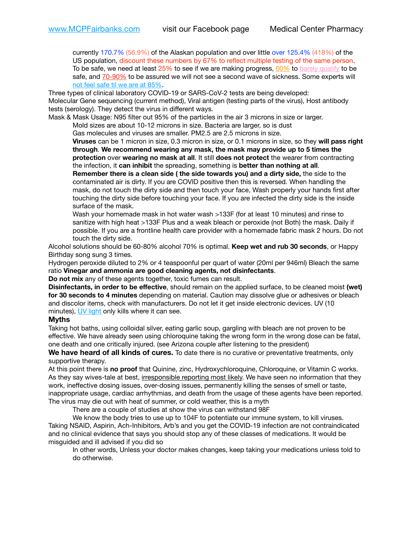currently 170.7% (56.9%) of the Alaskan population and over little over 125.4% (418%) of the US population, discount these numbers by 67% to reflect multiple testing of the same person. To be safe, we need at least  $25\%$  to see if we are making progress,  $60\%$  to [barely qualify](https://www.nature.com/articles/d41586-020-02948-4) to be safe, and [70-90%](https://www.mayoclinic.org/herd-immunity-and-coronavirus/art-20486808) to be assured we will not see a second wave of sickness. Some experts will [not feel safe til we are at 85%.](https://www.bannerhealth.com/healthcareblog/teach-me/what-is-herd-immunity)

Three types of clinical laboratory COVID-19 or SARS-CoV-2 tests are being developed: Molecular Gene sequencing (current method), Viral antigen (testing parts of the virus), Host antibody tests (serology). They detect the virus in different ways.

Mask & Mask Usage: N95 filter out 95% of the particles in the air 3 microns in size or larger.

Mold sizes are about 10-12 microns in size. Bacteria are larger, so is dust

Gas molecules and viruses are smaller. PM2.5 are 2.5 microns in size.

**Viruses** can be 1 micron in size, 0.3 micron in size, or 0.1 microns in size, so they **will pass right through**. **We recommend wearing any mask, the mask may provide up to 5 times the protection** over **wearing no mask at all**. It still **does not protect** the wearer from contracting the infection, it **can inhibit** the spreading, something is **better than nothing at all**.

**Remember there is a clean side ( the side towards you) and a dirty side,** the side to the contaminated air is dirty. If you are COVID positive then this is reversed. When handling the mask, do not touch the dirty side and then touch your face, Wash properly your hands first after touching the dirty side before touching your face. If you are infected the dirty side is the inside surface of the mask.

Wash your homemade mask in hot water wash >133F (for at least 10 minutes) and rinse to sanitize with high heat >133F Plus and a weak bleach or peroxide (not Both) the mask. Daily if possible. If you are a frontline health care provider with a homemade fabric mask 2 hours. Do not touch the dirty side.

Alcohol solutions should be 60-80% alcohol 70% is optimal. **Keep wet and rub 30 seconds**, or Happy Birthday song sung 3 times.

Hydrogen peroxide diluted to 2% or 4 teaspoonful per quart of water (20ml per 946ml) Bleach the same ratio **Vinegar and ammonia are good cleaning agents, not disinfectants**.

**Do not mix** any of these agents together, toxic fumes can result.

**Disinfectants, in order to be effective**, should remain on the applied surface, to be cleaned moist (wet) **for 30 seconds to 4 minutes** depending on material. Caution may dissolve glue or adhesives or bleach and discolor items, check with manufacturers. Do not let it get inside electronic devices. UV (10 minutes), [UV light](http://www.docreviews.me/best-uv-boxes-2020/?fbclid=IwAR3bvFtXB48OoBBSvYvTEnKuHNPbipxM6jUo82QUSw9wckxjC7wwRZWabGw) only kills where it can see.

## **Myths**

Taking hot baths, using colloidal silver, eating garlic soup, gargling with bleach are not proven to be effective. We have already seen using chloroquine taking the wrong form in the wrong dose can be fatal, one death and one critically injured. (see Arizona couple after listening to the president)

**We have heard of all kinds of cures.** To date there is no curative or preventative treatments, only supportive therapy.

At this point there is **no proof** that Quinine, zinc, Hydroxychloroquine, Chloroquine, or Vitamin C works. As they say wives-tale at best, irresponsible reporting most likely. We have seen no information that they work, ineffective dosing issues, over-dosing issues, permanently killing the senses of smell or taste, inappropriate usage, cardiac arrhythmias, and death from the usage of these agents have been reported. The virus may die out with heat of summer, or cold weather, this is a myth

There are a couple of studies at show the virus can withstand 98F

We know the body tries to use up to 104F to potentiate our immune system, to kill viruses. Taking NSAID, Aspirin, Ach-Inhibitors, Arb's and you get the COVID-19 infection are not contraindicated and no clinical evidence that says you should stop any of these classes of medications. It would be misguided and ill advised if you did so

In other words, Unless your doctor makes changes, keep taking your medications unless told to do otherwise.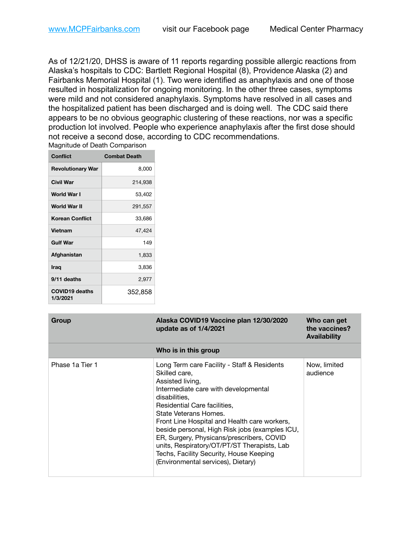As of 12/21/20, DHSS is aware of 11 reports regarding possible allergic reactions from Alaska's hospitals to CDC: Bartlett Regional Hospital (8), Providence Alaska (2) and Fairbanks Memorial Hospital (1). Two were identified as anaphylaxis and one of those resulted in hospitalization for ongoing monitoring. In the other three cases, symptoms were mild and not considered anaphylaxis. Symptoms have resolved in all cases and the hospitalized patient has been discharged and is doing well. The CDC said there appears to be no obvious geographic clustering of these reactions, nor was a specific production lot involved. People who experience anaphylaxis after the first dose should not receive a second dose, according to CDC recommendations. Magnitude of Death Comparison

| <b>Conflict</b>                   | <b>Combat Death</b> |
|-----------------------------------|---------------------|
| <b>Revolutionary War</b>          | 8,000               |
| Civil War                         | 214,938             |
| World War I                       | 53,402              |
| World War II                      | 291,557             |
| <b>Korean Conflict</b>            | 33,686              |
| Vietnam                           | 47,424              |
| <b>Gulf War</b>                   | 149                 |
| Afghanistan                       | 1,833               |
| <b>Iraq</b>                       | 3,836               |
| 9/11 deaths                       | 2,977               |
| <b>COVID19 deaths</b><br>1/3/2021 | 352,858             |

| Group           | Alaska COVID19 Vaccine plan 12/30/2020<br>update as of 1/4/2021                                                                                                                                                                                                                                                                                                                                                                                                                   | Who can get<br>the vaccines?<br><b>Availability</b> |
|-----------------|-----------------------------------------------------------------------------------------------------------------------------------------------------------------------------------------------------------------------------------------------------------------------------------------------------------------------------------------------------------------------------------------------------------------------------------------------------------------------------------|-----------------------------------------------------|
|                 | Who is in this group                                                                                                                                                                                                                                                                                                                                                                                                                                                              |                                                     |
| Phase 1a Tier 1 | Long Term care Facility - Staff & Residents<br>Skilled care,<br>Assisted living,<br>Intermediate care with developmental<br>disabilities.<br>Residential Care facilities.<br>State Veterans Homes.<br>Front Line Hospital and Health care workers,<br>beside personal, High Risk jobs (examples ICU,<br>ER, Surgery, Physicans/prescribers, COVID<br>units, Respiratory/OT/PT/ST Therapists, Lab<br>Techs, Facility Security, House Keeping<br>(Environmental services), Dietary) | Now, limited<br>audience                            |